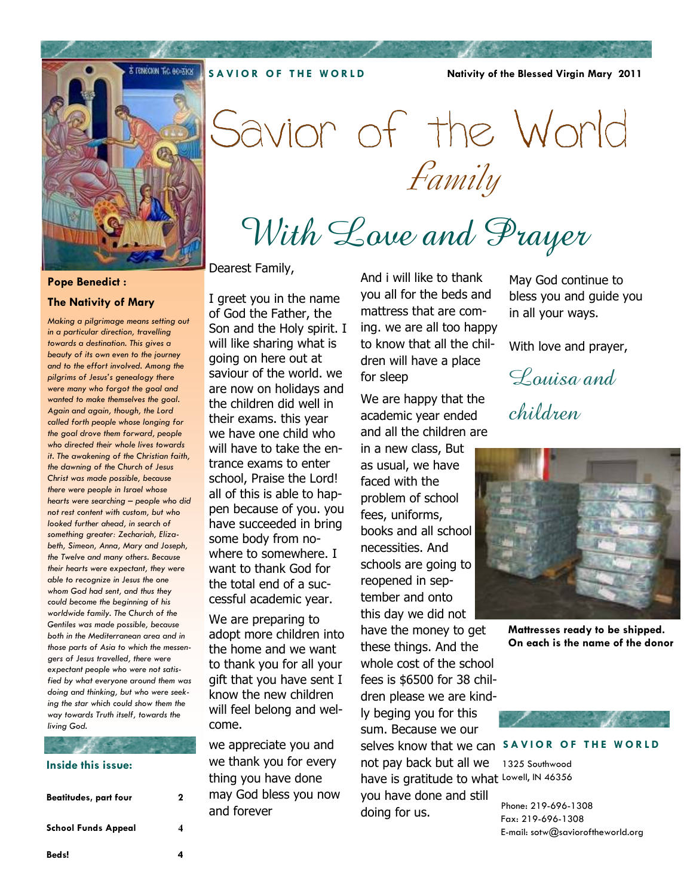**SAVIOR OF THE WORLD** 

**Nativity of the Blessed Virgin Mary 2011** 



### **Pope Benedict :**

### **The Nativity of Mary**

*Making a pilgrimage means setting out in a particular direction, travelling towards a destination. This gives a beauty of its own even to the journey and to the effort involved. Among the pilgrims of Jesus's genealogy there were many who forgot the goal and wanted to make themselves the goal. Again and again, though, the Lord called forth people whose longing for the goal drove them forward, people who directed their whole lives towards it. The awakening of the Christian faith, the dawning of the Church of Jesus Christ was made possible, because there were people in Israel whose hearts were searching – people who did not rest content with custom, but who looked further ahead, in search of something greater: Zechariah, Elizabeth, Simeon, Anna, Mary and Joseph, the Twelve and many others. Because their hearts were expectant, they were able to recognize in Jesus the one whom God had sent, and thus they could become the beginning of his worldwide family. The Church of the Gentiles was made possible, because both in the Mediterranean area and in those parts of Asia to which the messengers of Jesus travelled, there were expectant people who were not satisfied by what everyone around them was doing and thinking, but who were seeking the star which could show them the way towards Truth itself, towards the living God.*

## **Inside this issue:**

| Beatitudes, part four | 2 |
|-----------------------|---|
| School Funds Appeal   |   |
| Beds!                 |   |

Dearest Family,

I greet you in the name of God the Father, the Son and the Holy spirit. I will like sharing what is going on here out at saviour of the world. we are now on holidays and the children did well in their exams. this year we have one child who will have to take the entrance exams to enter school, Praise the Lord! all of this is able to happen because of you. you have succeeded in bring some body from nowhere to somewhere. I want to thank God for the total end of a successful academic year.

We are preparing to adopt more children into the home and we want to thank you for all your gift that you have sent I know the new children will feel belong and welcome.

we appreciate you and we thank you for every thing you have done may God bless you now and forever

And i will like to thank you all for the beds and mattress that are coming. we are all too happy to know that all the children will have a place for sleep

With Love and Prayer

Savior of the World

Family

We are happy that the academic year ended and all the children are

in a new class, But as usual, we have faced with the problem of school fees, uniforms, books and all school necessities. And schools are going to reopened in september and onto this day we did not have the money to get these things. And the whole cost of the school fees is \$6500 for 38 children please we are kindly beging you for this sum. Because we our

not pay back but all we have is gratitude to what Lowell, IN 46356 you have done and still doing for us.

May God continue to bless you and guide you in all your ways.

With love and prayer,

Louisa and

children



**Mattresses ready to be shipped. On each is the name of the donor** 



selves know that we can SAVIOR OF THE WORLD

1325 Southwood

Phone: 219-696-1308 Fax: 219-696-1308 E-mail: sotw@savioroftheworld.org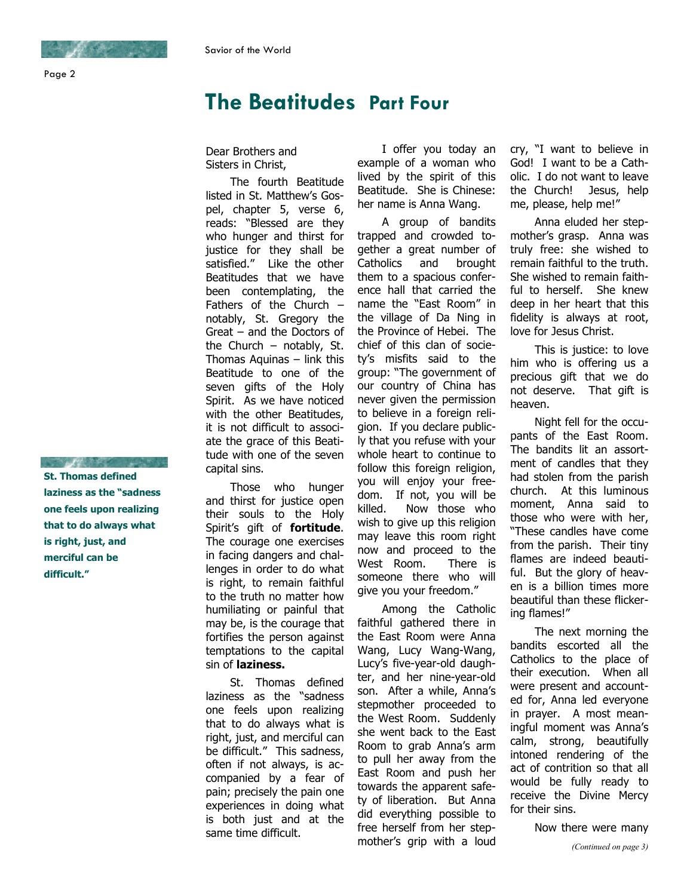# **The Beatitudes Part Four**

Dear Brothers and Sisters in Christ,

The fourth Beatitude listed in St. Matthew's Gospel, chapter 5, verse 6, reads: "Blessed are they who hunger and thirst for justice for they shall be satisfied." Like the other Beatitudes that we have been contemplating, the Fathers of the Church – notably, St. Gregory the Great – and the Doctors of the Church  $-$  notably, St. Thomas Aquinas – link this Beatitude to one of the seven gifts of the Holy Spirit. As we have noticed with the other Beatitudes, it is not difficult to associate the grace of this Beatitude with one of the seven capital sins.

Those who hunger and thirst for justice open their souls to the Holy Spirit's gift of **fortitude**. The courage one exercises in facing dangers and challenges in order to do what is right, to remain faithful to the truth no matter how humiliating or painful that may be, is the courage that fortifies the person against temptations to the capital sin of **laziness.** 

St. Thomas defined laziness as the "sadness one feels upon realizing that to do always what is right, just, and merciful can be difficult." This sadness, often if not always, is accompanied by a fear of pain; precisely the pain one experiences in doing what is both just and at the same time difficult.

I offer you today an example of a woman who lived by the spirit of this Beatitude. She is Chinese: her name is Anna Wang.

A group of bandits trapped and crowded together a great number of Catholics and brought them to a spacious conference hall that carried the name the "East Room" in the village of Da Ning in the Province of Hebei. The chief of this clan of society's misfits said to the group: "The government of our country of China has never given the permission to believe in a foreign religion. If you declare publicly that you refuse with your whole heart to continue to follow this foreign religion, you will enjoy your freedom. If not, you will be killed. Now those who wish to give up this religion may leave this room right now and proceed to the West Room. There is someone there who will give you your freedom."

Among the Catholic faithful gathered there in the East Room were Anna Wang, Lucy Wang-Wang, Lucy's five-year-old daughter, and her nine-year-old son. After a while, Anna's stepmother proceeded to the West Room. Suddenly she went back to the East Room to grab Anna's arm to pull her away from the East Room and push her towards the apparent safety of liberation. But Anna did everything possible to free herself from her stepmother's grip with a loud

cry, "I want to believe in God! I want to be a Catholic. I do not want to leave the Church! Jesus, help me, please, help me!"

Anna eluded her stepmother's grasp. Anna was truly free: she wished to remain faithful to the truth. She wished to remain faithful to herself. She knew deep in her heart that this fidelity is always at root, love for Jesus Christ.

This is justice: to love him who is offering us a precious gift that we do not deserve. That gift is heaven.

Night fell for the occupants of the East Room. The bandits lit an assortment of candles that they had stolen from the parish church. At this luminous moment, Anna said to those who were with her, "These candles have come from the parish. Their tiny flames are indeed beautiful. But the glory of heaven is a billion times more beautiful than these flickering flames!"

The next morning the bandits escorted all the Catholics to the place of their execution. When all were present and accounted for, Anna led everyone in prayer. A most meaningful moment was Anna's calm, strong, beautifully intoned rendering of the act of contrition so that all would be fully ready to receive the Divine Mercy for their sins.

Now there were many

**St. Thomas defined laziness as the "sadness one feels upon realizing that to do always what is right, just, and merciful can be difficult."** 

and the company of the company of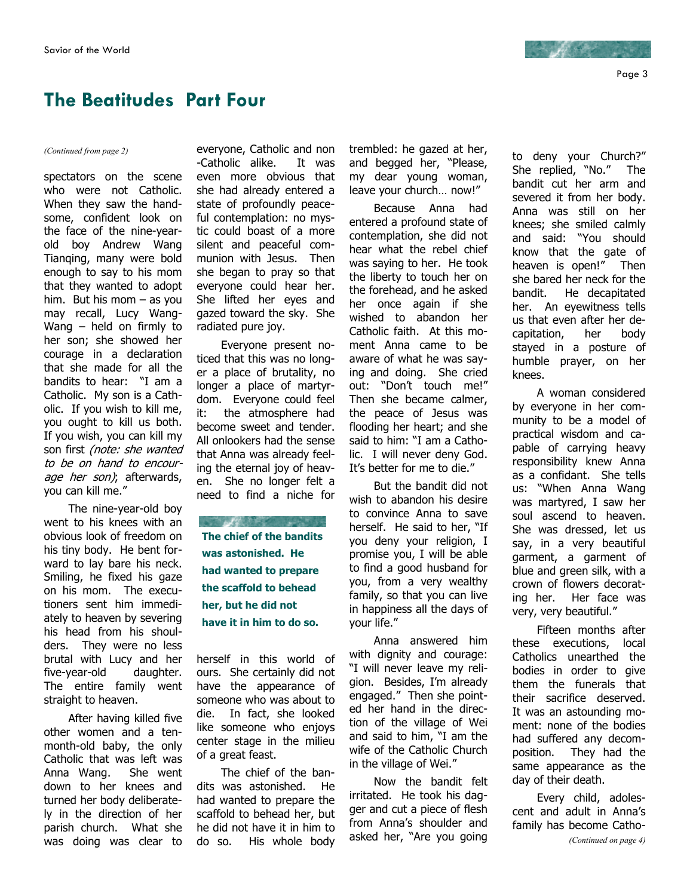

# **The Beatitudes Part Four**

spectators on the scene who were not Catholic. When they saw the handsome, confident look on the face of the nine-yearold boy Andrew Wang Tianqing, many were bold enough to say to his mom that they wanted to adopt him. But his mom – as you may recall, Lucy Wang-Wang – held on firmly to her son; she showed her courage in a declaration that she made for all the bandits to hear: "I am a Catholic. My son is a Catholic. If you wish to kill me, you ought to kill us both. If you wish, you can kill my son first (note: she wanted to be on hand to encourage her son); afterwards, you can kill me."

The nine-year-old boy went to his knees with an obvious look of freedom on his tiny body. He bent forward to lay bare his neck. Smiling, he fixed his gaze on his mom. The executioners sent him immediately to heaven by severing his head from his shoulders. They were no less brutal with Lucy and her five-year-old daughter. The entire family went straight to heaven.

After having killed five other women and a tenmonth-old baby, the only Catholic that was left was Anna Wang. She went down to her knees and turned her body deliberately in the direction of her parish church. What she was doing was clear to

*(Continued from page 2)* everyone, Catholic and non -Catholic alike. It was even more obvious that she had already entered a state of profoundly peaceful contemplation: no mystic could boast of a more silent and peaceful communion with Jesus. Then she began to pray so that everyone could hear her. She lifted her eyes and gazed toward the sky. She radiated pure joy.

> Everyone present noticed that this was no longer a place of brutality, no longer a place of martyrdom. Everyone could feel it: the atmosphere had become sweet and tender. All onlookers had the sense that Anna was already feeling the eternal joy of heaven. She no longer felt a need to find a niche for

**RANGE AND STATE OF PARTIES The chief of the bandits was astonished. He had wanted to prepare the scaffold to behead her, but he did not have it in him to do so.** 

herself in this world of ours. She certainly did not have the appearance of someone who was about to die. In fact, she looked like someone who enjoys center stage in the milieu of a great feast.

The chief of the bandits was astonished. He had wanted to prepare the scaffold to behead her, but he did not have it in him to do so. His whole body trembled: he gazed at her, and begged her, "Please, my dear young woman, leave your church… now!"

Because Anna had entered a profound state of contemplation, she did not hear what the rebel chief was saying to her. He took the liberty to touch her on the forehead, and he asked her once again if she wished to abandon her Catholic faith. At this moment Anna came to be aware of what he was saying and doing. She cried out: "Don't touch me!" Then she became calmer, the peace of Jesus was flooding her heart; and she said to him: "I am a Catholic. I will never deny God. It's better for me to die."

But the bandit did not wish to abandon his desire to convince Anna to save herself. He said to her, "If you deny your religion, I promise you, I will be able to find a good husband for you, from a very wealthy family, so that you can live in happiness all the days of your life."

Anna answered him with dignity and courage: "I will never leave my religion. Besides, I'm already engaged." Then she pointed her hand in the direction of the village of Wei and said to him, "I am the wife of the Catholic Church in the village of Wei."

Now the bandit felt irritated. He took his dagger and cut a piece of flesh from Anna's shoulder and asked her, "Are you going

to deny your Church?" She replied, "No." The bandit cut her arm and severed it from her body. Anna was still on her knees; she smiled calmly and said: "You should know that the gate of heaven is open!" Then she bared her neck for the bandit. He decapitated her. An eyewitness tells us that even after her decapitation, her body stayed in a posture of humble prayer, on her knees.

A woman considered by everyone in her community to be a model of practical wisdom and capable of carrying heavy responsibility knew Anna as a confidant. She tells us: "When Anna Wang was martyred, I saw her soul ascend to heaven. She was dressed, let us say, in a very beautiful garment, a garment of blue and green silk, with a crown of flowers decorating her. Her face was very, very beautiful."

Fifteen months after these executions, local Catholics unearthed the bodies in order to give them the funerals that their sacrifice deserved. It was an astounding moment: none of the bodies had suffered any decomposition. They had the same appearance as the day of their death.

Every child, adolescent and adult in Anna's family has become Catho- *(Continued on page 4)* 

Page 3